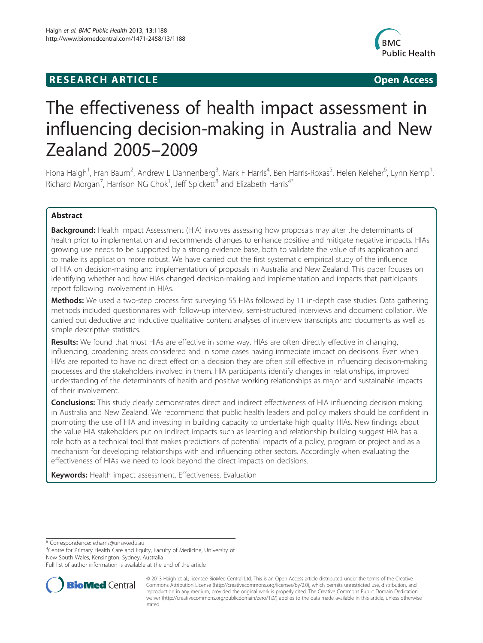## **RESEARCH ARTICLE CONSUMING A RESEARCH ARTICLE**



# The effectiveness of health impact assessment in influencing decision-making in Australia and New Zealand 2005–2009

Fiona Haigh<sup>1</sup>, Fran Baum<sup>2</sup>, Andrew L Dannenberg<sup>3</sup>, Mark F Harris<sup>4</sup>, Ben Harris-Roxas<sup>5</sup>, Helen Keleher<sup>6</sup>, Lynn Kemp<sup>1</sup> , Richard Morgan<sup>7</sup>, Harrison NG Chok<sup>1</sup>, Jeff Spickett<sup>8</sup> and Elizabeth Harris<sup>4\*</sup>

## Abstract

Background: Health Impact Assessment (HIA) involves assessing how proposals may alter the determinants of health prior to implementation and recommends changes to enhance positive and mitigate negative impacts. HIAs growing use needs to be supported by a strong evidence base, both to validate the value of its application and to make its application more robust. We have carried out the first systematic empirical study of the influence of HIA on decision-making and implementation of proposals in Australia and New Zealand. This paper focuses on identifying whether and how HIAs changed decision-making and implementation and impacts that participants report following involvement in HIAs.

Methods: We used a two-step process first surveying 55 HIAs followed by 11 in-depth case studies. Data gathering methods included questionnaires with follow-up interview, semi-structured interviews and document collation. We carried out deductive and inductive qualitative content analyses of interview transcripts and documents as well as simple descriptive statistics.

Results: We found that most HIAs are effective in some way. HIAs are often directly effective in changing, influencing, broadening areas considered and in some cases having immediate impact on decisions. Even when HIAs are reported to have no direct effect on a decision they are often still effective in influencing decision-making processes and the stakeholders involved in them. HIA participants identify changes in relationships, improved understanding of the determinants of health and positive working relationships as major and sustainable impacts of their involvement.

**Conclusions:** This study clearly demonstrates direct and indirect effectiveness of HIA influencing decision making in Australia and New Zealand. We recommend that public health leaders and policy makers should be confident in promoting the use of HIA and investing in building capacity to undertake high quality HIAs. New findings about the value HIA stakeholders put on indirect impacts such as learning and relationship building suggest HIA has a role both as a technical tool that makes predictions of potential impacts of a policy, program or project and as a mechanism for developing relationships with and influencing other sectors. Accordingly when evaluating the effectiveness of HIAs we need to look beyond the direct impacts on decisions.

Keywords: Health impact assessment, Effectiveness, Evaluation

\* Correspondence: [e.harris@unsw.edu.au](mailto:e.harris@unsw.edu.au) <sup>4</sup>

<sup>4</sup>Centre for Primary Health Care and Equity, Faculty of Medicine, University of New South Wales, Kensington, Sydney, Australia

Full list of author information is available at the end of the article



© 2013 Haigh et al.; licensee BioMed Central Ltd. This is an Open Access article distributed under the terms of the Creative Commons Attribution License [\(http://creativecommons.org/licenses/by/2.0\)](http://creativecommons.org/licenses/by/2.0), which permits unrestricted use, distribution, and reproduction in any medium, provided the original work is properly cited. The Creative Commons Public Domain Dedication waiver [\(http://creativecommons.org/publicdomain/zero/1.0/\)](http://creativecommons.org/publicdomain/zero/1.0/) applies to the data made available in this article, unless otherwise stated.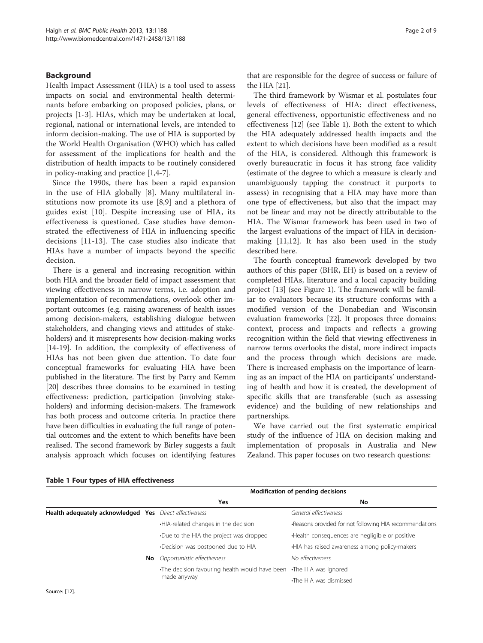## Background

Health Impact Assessment (HIA) is a tool used to assess impacts on social and environmental health determinants before embarking on proposed policies, plans, or projects [[1](#page-7-0)[-3](#page-8-0)]. HIAs, which may be undertaken at local, regional, national or international levels, are intended to inform decision-making. The use of HIA is supported by the World Health Organisation (WHO) which has called for assessment of the implications for health and the distribution of health impacts to be routinely considered in policy-making and practice [[1,](#page-7-0)[4-7](#page-8-0)].

Since the 1990s, there has been a rapid expansion in the use of HIA globally [\[8](#page-8-0)]. Many multilateral institutions now promote its use [\[8,9](#page-8-0)] and a plethora of guides exist [[10](#page-8-0)]. Despite increasing use of HIA, its effectiveness is questioned. Case studies have demonstrated the effectiveness of HIA in influencing specific decisions [[11](#page-8-0)-[13\]](#page-8-0). The case studies also indicate that HIAs have a number of impacts beyond the specific decision.

There is a general and increasing recognition within both HIA and the broader field of impact assessment that viewing effectiveness in narrow terms, i.e. adoption and implementation of recommendations, overlook other important outcomes (e.g. raising awareness of health issues among decision-makers, establishing dialogue between stakeholders, and changing views and attitudes of stakeholders) and it misrepresents how decision-making works [[14](#page-8-0)-[19\]](#page-8-0). In addition, the complexity of effectiveness of HIAs has not been given due attention. To date four conceptual frameworks for evaluating HIA have been published in the literature. The first by Parry and Kemm [[20](#page-8-0)] describes three domains to be examined in testing effectiveness: prediction, participation (involving stakeholders) and informing decision-makers. The framework has both process and outcome criteria. In practice there have been difficulties in evaluating the full range of potential outcomes and the extent to which benefits have been realised. The second framework by Birley suggests a fault analysis approach which focuses on identifying features

that are responsible for the degree of success or failure of the HIA [\[21\]](#page-8-0).

The third framework by Wismar et al. postulates four levels of effectiveness of HIA: direct effectiveness, general effectiveness, opportunistic effectiveness and no effectiveness [\[12\]](#page-8-0) (see Table 1). Both the extent to which the HIA adequately addressed health impacts and the extent to which decisions have been modified as a result of the HIA, is considered. Although this framework is overly bureaucratic in focus it has strong face validity (estimate of the degree to which a measure is clearly and unambiguously tapping the construct it purports to assess) in recognising that a HIA may have more than one type of effectiveness, but also that the impact may not be linear and may not be directly attributable to the HIA. The Wismar framework has been used in two of the largest evaluations of the impact of HIA in decisionmaking [\[11,12](#page-8-0)]. It has also been used in the study described here.

The fourth conceptual framework developed by two authors of this paper (BHR, EH) is based on a review of completed HIAs, literature and a local capacity building project [[13](#page-8-0)] (see Figure [1\)](#page-2-0). The framework will be familiar to evaluators because its structure conforms with a modified version of the Donabedian and Wisconsin evaluation frameworks [\[22\]](#page-8-0). It proposes three domains: context, process and impacts and reflects a growing recognition within the field that viewing effectiveness in narrow terms overlooks the distal, more indirect impacts and the process through which decisions are made. There is increased emphasis on the importance of learning as an impact of the HIA on participants' understanding of health and how it is created, the development of specific skills that are transferable (such as assessing evidence) and the building of new relationships and partnerships.

We have carried out the first systematic empirical study of the influence of HIA on decision making and implementation of proposals in Australia and New Zealand. This paper focuses on two research questions:

|                                                         |  | Modification of pending decisions                            |                                                         |  |
|---------------------------------------------------------|--|--------------------------------------------------------------|---------------------------------------------------------|--|
|                                                         |  | Yes                                                          | No                                                      |  |
| Health adequately acknowledged Yes Direct effectiveness |  |                                                              | General effectiveness                                   |  |
|                                                         |  | .HIA-related changes in the decision                         | -Reasons provided for not following HIA recommendations |  |
|                                                         |  | •Due to the HIA the project was dropped                      | Health consequences are negligible or positive          |  |
|                                                         |  | •Decision was postponed due to HIA                           | . HIA has raised awareness among policy-makers          |  |
|                                                         |  | <b>No</b> Opportunistic effectiveness                        | No effectiveness                                        |  |
|                                                         |  | The decision favouring health would have been<br>made anyway | •The HIA was ignored                                    |  |
|                                                         |  |                                                              | •The HIA was dismissed                                  |  |

#### Table 1 Four types of HIA effectiveness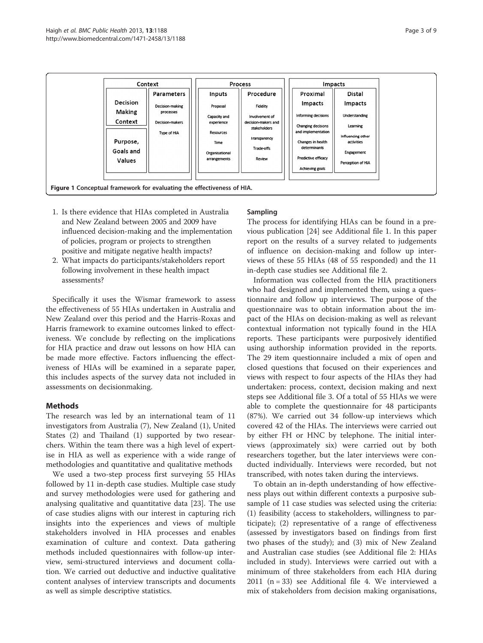<span id="page-2-0"></span>

- 1. Is there evidence that HIAs completed in Australia and New Zealand between 2005 and 2009 have influenced decision-making and the implementation of policies, program or projects to strengthen positive and mitigate negative health impacts?
- 2. What impacts do participants/stakeholders report following involvement in these health impact assessments?

Specifically it uses the Wismar framework to assess the effectiveness of 55 HIAs undertaken in Australia and New Zealand over this period and the Harris-Roxas and Harris framework to examine outcomes linked to effectiveness. We conclude by reflecting on the implications for HIA practice and draw out lessons on how HIA can be made more effective. Factors influencing the effectiveness of HIAs will be examined in a separate paper, this includes aspects of the survey data not included in assessments on decisionmaking.

## Methods

The research was led by an international team of 11 investigators from Australia (7), New Zealand (1), United States (2) and Thailand (1) supported by two researchers. Within the team there was a high level of expertise in HIA as well as experience with a wide range of methodologies and quantitative and qualitative methods

We used a two-step process first surveying 55 HIAs followed by 11 in-depth case studies. Multiple case study and survey methodologies were used for gathering and analysing qualitative and quantitative data [\[23](#page-8-0)]. The use of case studies aligns with our interest in capturing rich insights into the experiences and views of multiple stakeholders involved in HIA processes and enables examination of culture and context. Data gathering methods included questionnaires with follow-up interview, semi-structured interviews and document collation. We carried out deductive and inductive qualitative content analyses of interview transcripts and documents as well as simple descriptive statistics.

## Sampling

The process for identifying HIAs can be found in a previous publication [\[24](#page-8-0)] see Additional file [1](#page-7-0). In this paper report on the results of a survey related to judgements of influence on decision-making and follow up interviews of these 55 HIAs (48 of 55 responded) and the 11 in-depth case studies see Additional file [2.](#page-7-0)

Information was collected from the HIA practitioners who had designed and implemented them, using a questionnaire and follow up interviews. The purpose of the questionnaire was to obtain information about the impact of the HIAs on decision-making as well as relevant contextual information not typically found in the HIA reports. These participants were purposively identified using authorship information provided in the reports. The 29 item questionnaire included a mix of open and closed questions that focused on their experiences and views with respect to four aspects of the HIAs they had undertaken: process, context, decision making and next steps see Additional file [3.](#page-7-0) Of a total of 55 HIAs we were able to complete the questionnaire for 48 participants (87%). We carried out 34 follow-up interviews which covered 42 of the HIAs. The interviews were carried out by either FH or HNC by telephone. The initial interviews (approximately six) were carried out by both researchers together, but the later interviews were conducted individually. Interviews were recorded, but not transcribed, with notes taken during the interviews.

To obtain an in-depth understanding of how effectiveness plays out within different contexts a purposive subsample of 11 case studies was selected using the criteria: (1) feasibility (access to stakeholders, willingness to participate); (2) representative of a range of effectiveness (assessed by investigators based on findings from first two phases of the study); and (3) mix of New Zealand and Australian case studies (see Additional file [2:](#page-7-0) HIAs included in study). Interviews were carried out with a minimum of three stakeholders from each HIA during 2011 (n = 33) see Additional file [4.](#page-7-0) We interviewed a mix of stakeholders from decision making organisations,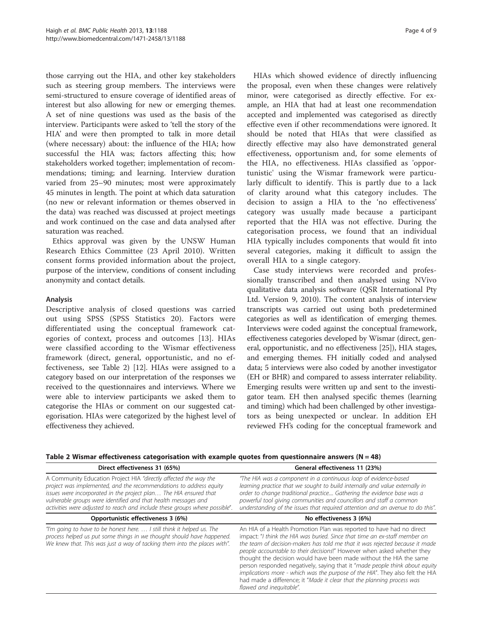<span id="page-3-0"></span>those carrying out the HIA, and other key stakeholders such as steering group members. The interviews were semi-structured to ensure coverage of identified areas of interest but also allowing for new or emerging themes. A set of nine questions was used as the basis of the interview. Participants were asked to 'tell the story of the HIA' and were then prompted to talk in more detail (where necessary) about: the influence of the HIA; how successful the HIA was; factors affecting this; how stakeholders worked together; implementation of recommendations; timing; and learning. Interview duration varied from 25–90 minutes; most were approximately 45 minutes in length. The point at which data saturation (no new or relevant information or themes observed in the data) was reached was discussed at project meetings and work continued on the case and data analysed after saturation was reached.

Ethics approval was given by the UNSW Human Research Ethics Committee (23 April 2010). Written consent forms provided information about the project, purpose of the interview, conditions of consent including anonymity and contact details.

## Analysis

Descriptive analysis of closed questions was carried out using SPSS (SPSS Statistics 20). Factors were differentiated using the conceptual framework categories of context, process and outcomes [[13\]](#page-8-0). HIAs were classified according to the Wismar effectiveness framework (direct, general, opportunistic, and no effectiveness, see Table 2) [\[12\]](#page-8-0). HIAs were assigned to a category based on our interpretation of the responses we received to the questionnaires and interviews. Where we were able to interview participants we asked them to categorise the HIAs or comment on our suggested categorisation. HIAs were categorized by the highest level of effectiveness they achieved.

HIAs which showed evidence of directly influencing the proposal, even when these changes were relatively minor, were categorised as directly effective. For example, an HIA that had at least one recommendation accepted and implemented was categorised as directly effective even if other recommendations were ignored. It should be noted that HIAs that were classified as directly effective may also have demonstrated general effectiveness, opportunism and, for some elements of the HIA, no effectiveness. HIAs classified as 'opportunistic' using the Wismar framework were particularly difficult to identify. This is partly due to a lack of clarity around what this category includes. The decision to assign a HIA to the 'no effectiveness' category was usually made because a participant reported that the HIA was not effective. During the categorisation process, we found that an individual HIA typically includes components that would fit into several categories, making it difficult to assign the overall HIA to a single category.

Case study interviews were recorded and professionally transcribed and then analysed using NVivo qualitative data analysis software (QSR International Pty Ltd. Version 9, 2010). The content analysis of interview transcripts was carried out using both predetermined categories as well as identification of emerging themes. Interviews were coded against the conceptual framework, effectiveness categories developed by Wismar (direct, general, opportunistic, and no effectiveness [[25](#page-8-0)]), HIA stages, and emerging themes. FH initially coded and analysed data; 5 interviews were also coded by another investigator (EH or BHR) and compared to assess interrater reliability. Emerging results were written up and sent to the investigator team. EH then analysed specific themes (learning and timing) which had been challenged by other investigators as being unexpected or unclear. In addition EH reviewed FH's coding for the conceptual framework and

Table 2 Wismar effectiveness categorisation with example quotes from questionnaire answers ( $N = 48$ )

| Direct effectiveness 31 (65%)                                                                                                                                                                                                                                                                                                                                | General effectiveness 11 (23%)                                                                                                                                                                                                                                                                                                                                                                                                                                                                                                                                                                                                                            |  |
|--------------------------------------------------------------------------------------------------------------------------------------------------------------------------------------------------------------------------------------------------------------------------------------------------------------------------------------------------------------|-----------------------------------------------------------------------------------------------------------------------------------------------------------------------------------------------------------------------------------------------------------------------------------------------------------------------------------------------------------------------------------------------------------------------------------------------------------------------------------------------------------------------------------------------------------------------------------------------------------------------------------------------------------|--|
| A Community Education Project HIA "directly affected the way the<br>project was implemented, and the recommendations to address equity<br>issues were incorporated in the project plan The HIA ensured that<br>vulnerable groups were identified and that health messages and<br>activities were adjusted to reach and include these groups where possible". | "The HIA was a component in a continuous loop of evidence-based<br>learning practice that we sought to build internally and value externally in<br>order to change traditional practice Gathering the evidence base was a<br>powerful tool giving communities and councillors and staff a common<br>understanding of the issues that required attention and an avenue to do this".                                                                                                                                                                                                                                                                        |  |
| Opportunistic effectiveness 3 (6%)                                                                                                                                                                                                                                                                                                                           | No effectiveness 3 (6%)                                                                                                                                                                                                                                                                                                                                                                                                                                                                                                                                                                                                                                   |  |
| "I'm going to have to be honest here I still think it helped us. The<br>process helped us put some things in we thought should have happened.<br>We knew that. This was just a way of tacking them into the places with".                                                                                                                                    | An HIA of a Health Promotion Plan was reported to have had no direct<br>impact: "I think the HIA was buried. Since that time an ex-staff member on<br>the team of decision-makers has told me that it was rejected because it made<br>people accountable to their decisions!" However when asked whether they<br>thought the decision would have been made without the HIA the same<br>person responded negatively, saying that it "made people think about equity<br>implications more - which was the purpose of the HIA". They also felt the HIA<br>had made a difference; it "Made it clear that the planning process was<br>flawed and inequitable". |  |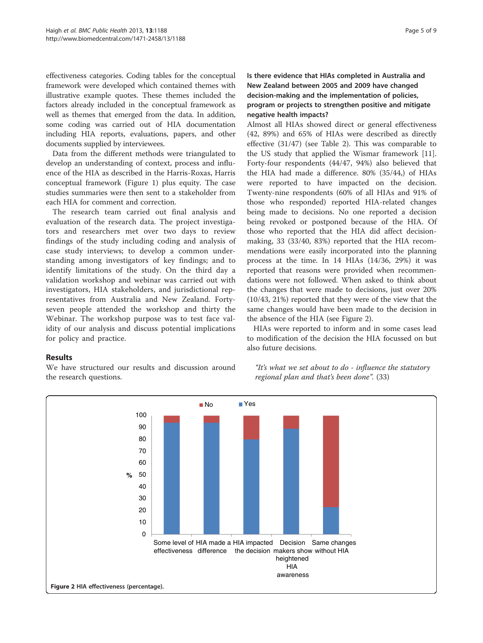effectiveness categories. Coding tables for the conceptual framework were developed which contained themes with illustrative example quotes. These themes included the factors already included in the conceptual framework as well as themes that emerged from the data. In addition, some coding was carried out of HIA documentation including HIA reports, evaluations, papers, and other documents supplied by interviewees.

Data from the different methods were triangulated to develop an understanding of context, process and influence of the HIA as described in the Harris-Roxas, Harris conceptual framework (Figure [1](#page-2-0)) plus equity. The case studies summaries were then sent to a stakeholder from each HIA for comment and correction.

The research team carried out final analysis and evaluation of the research data. The project investigators and researchers met over two days to review findings of the study including coding and analysis of case study interviews; to develop a common understanding among investigators of key findings; and to identify limitations of the study. On the third day a validation workshop and webinar was carried out with investigators, HIA stakeholders, and jurisdictional representatives from Australia and New Zealand. Fortyseven people attended the workshop and thirty the Webinar. The workshop purpose was to test face validity of our analysis and discuss potential implications for policy and practice.

## Is there evidence that HIAs completed in Australia and New Zealand between 2005 and 2009 have changed decision-making and the implementation of policies, program or projects to strengthen positive and mitigate negative health impacts?

Almost all HIAs showed direct or general effectiveness (42, 89%) and 65% of HIAs were described as directly effective (31/47) (see Table [2](#page-3-0)). This was comparable to the US study that applied the Wismar framework [\[11](#page-8-0)]. Forty-four respondents (44/47, 94%) also believed that the HIA had made a difference. 80% (35/44,) of HIAs were reported to have impacted on the decision. Twenty-nine respondents (60% of all HIAs and 91% of those who responded) reported HIA-related changes being made to decisions. No one reported a decision being revoked or postponed because of the HIA. Of those who reported that the HIA did affect decisionmaking, 33 (33/40, 83%) reported that the HIA recommendations were easily incorporated into the planning process at the time. In 14 HIAs (14/36, 29%) it was reported that reasons were provided when recommendations were not followed. When asked to think about the changes that were made to decisions, just over 20% (10/43, 21%) reported that they were of the view that the same changes would have been made to the decision in the absence of the HIA (see Figure 2).

HIAs were reported to inform and in some cases lead to modification of the decision the HIA focussed on but also future decisions.

## Results

We have structured our results and discussion around the research questions.

"It's what we set about to do - influence the statutory regional plan and that's been done". (33)

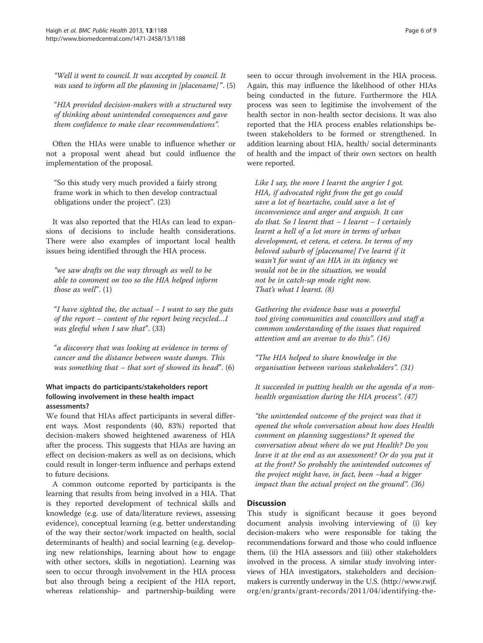"Well it went to council. It was accepted by council. It was used to inform all the planning in [placename]". (5)

"HIA provided decision-makers with a structured way of thinking about unintended consequences and gave them confidence to make clear recommendations".

Often the HIAs were unable to influence whether or not a proposal went ahead but could influence the implementation of the proposal.

"So this study very much provided a fairly strong frame work in which to then develop contractual obligations under the project". (23)

It was also reported that the HIAs can lead to expansions of decisions to include health considerations. There were also examples of important local health issues being identified through the HIA process.

"we saw drafts on the way through as well to be able to comment on too so the HIA helped inform those as well".  $(1)$ 

"I have sighted the, the actual  $-I$  want to say the guts of the report – content of the report being recycled…I was gleeful when I saw that".  $(33)$ 

"a discovery that was looking at evidence in terms of cancer and the distance between waste dumps. This was something that – that sort of showed its head".  $(6)$ 

## What impacts do participants/stakeholders report following involvement in these health impact assessments?

We found that HIAs affect participants in several different ways. Most respondents (40, 83%) reported that decision-makers showed heightened awareness of HIA after the process. This suggests that HIAs are having an effect on decision-makers as well as on decisions, which could result in longer-term influence and perhaps extend to future decisions.

A common outcome reported by participants is the learning that results from being involved in a HIA. That is they reported development of technical skills and knowledge (e.g. use of data/literature reviews, assessing evidence), conceptual learning (e.g. better understanding of the way their sector/work impacted on health, social determinants of health) and social learning (e.g. developing new relationships, learning about how to engage with other sectors, skills in negotiation). Learning was seen to occur through involvement in the HIA process but also through being a recipient of the HIA report, whereas relationship- and partnership-building were

seen to occur through involvement in the HIA process. Again, this may influence the likelihood of other HIAs being conducted in the future. Furthermore the HIA process was seen to legitimise the involvement of the health sector in non-health sector decisions. It was also reported that the HIA process enables relationships between stakeholders to be formed or strengthened. In addition learning about HIA, health/ social determinants of health and the impact of their own sectors on health were reported.

Like I say, the more I learnt the angrier I got. HIA, if advocated right from the get go could save a lot of heartache, could save a lot of inconvenience and anger and anguish. It can do that. So I learnt that  $-I$  learnt  $-I$  certainly learnt a hell of a lot more in terms of urban development, et cetera, et cetera. In terms of my beloved suburb of [placename] I've learnt if it wasn't for want of an HIA in its infancy we would not be in the situation, we would not be in catch-up mode right now. That's what I learnt. (8)

Gathering the evidence base was a powerful tool giving communities and councillors and staff a common understanding of the issues that required attention and an avenue to do this". (16)

"The HIA helped to share knowledge in the organisation between various stakeholders". (31)

It succeeded in putting health on the agenda of a nonhealth organisation during the HIA process". (47)

"the unintended outcome of the project was that it opened the whole conversation about how does Health comment on planning suggestions? It opened the conversation about where do we put Health? Do you leave it at the end as an assessment? Or do you put it at the front? So probably the unintended outcomes of the project might have, in fact, been –had a bigger impact than the actual project on the ground". (36)

## **Discussion**

This study is significant because it goes beyond document analysis involving interviewing of (i) key decision-makers who were responsible for taking the recommendations forward and those who could influence them, (ii) the HIA assessors and (iii) other stakeholders involved in the process. A similar study involving interviews of HIA investigators, stakeholders and decisionmakers is currently underway in the U.S. [\(http://www.rwjf.](http://www.rwjf.org/en/grants/grant-records/2011/04/identifying-the-critical-elements-of-successful-health-impact-as.html) [org/en/grants/grant-records/2011/04/identifying-the-](http://www.rwjf.org/en/grants/grant-records/2011/04/identifying-the-critical-elements-of-successful-health-impact-as.html)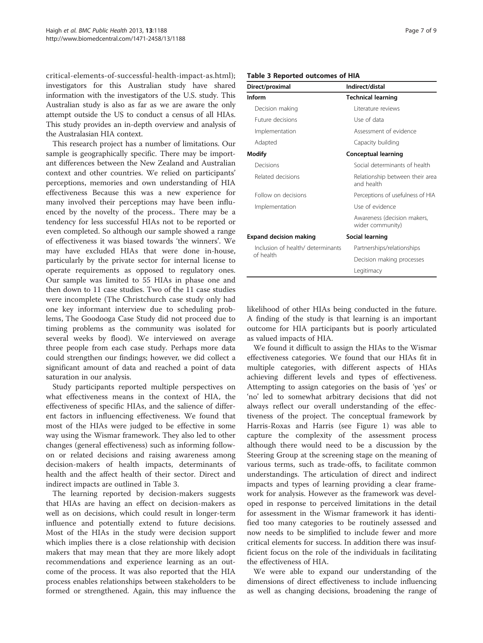[critical-elements-of-successful-health-impact-as.html](http://www.rwjf.org/en/grants/grant-records/2011/04/identifying-the-critical-elements-of-successful-health-impact-as.html)); investigators for this Australian study have shared information with the investigators of the U.S. study. This Australian study is also as far as we are aware the only attempt outside the US to conduct a census of all HIAs. This study provides an in-depth overview and analysis of the Australasian HIA context.

This research project has a number of limitations. Our sample is geographically specific. There may be important differences between the New Zealand and Australian context and other countries. We relied on participants' perceptions, memories and own understanding of HIA effectiveness Because this was a new experience for many involved their perceptions may have been influenced by the novelty of the process.. There may be a tendency for less successful HIAs not to be reported or even completed. So although our sample showed a range of effectiveness it was biased towards 'the winners'. We may have excluded HIAs that were done in-house, particularly by the private sector for internal license to operate requirements as opposed to regulatory ones. Our sample was limited to 55 HIAs in phase one and then down to 11 case studies. Two of the 11 case studies were incomplete (The Christchurch case study only had one key informant interview due to scheduling problems, The Goodooga Case Study did not proceed due to timing problems as the community was isolated for several weeks by flood). We interviewed on average three people from each case study. Perhaps more data could strengthen our findings; however, we did collect a significant amount of data and reached a point of data saturation in our analysis.

Study participants reported multiple perspectives on what effectiveness means in the context of HIA, the effectiveness of specific HIAs, and the salience of different factors in influencing effectiveness. We found that most of the HIAs were judged to be effective in some way using the Wismar framework. They also led to other changes (general effectiveness) such as informing followon or related decisions and raising awareness among decision-makers of health impacts, determinants of health and the affect health of their sector. Direct and indirect impacts are outlined in Table 3.

The learning reported by decision-makers suggests that HIAs are having an effect on decision-makers as well as on decisions, which could result in longer-term influence and potentially extend to future decisions. Most of the HIAs in the study were decision support which implies there is a close relationship with decision makers that may mean that they are more likely adopt recommendations and experience learning as an outcome of the process. It was also reported that the HIA process enables relationships between stakeholders to be formed or strengthened. Again, this may influence the

|  |  |  |  | Table 3 Reported outcomes of HIA |  |  |
|--|--|--|--|----------------------------------|--|--|
|--|--|--|--|----------------------------------|--|--|

| Direct/proximal                   | Indirect/distal                                 |  |  |
|-----------------------------------|-------------------------------------------------|--|--|
| Inform                            | <b>Technical learning</b>                       |  |  |
| Decision making                   | l iterature reviews                             |  |  |
| <b>Future decisions</b>           | Use of data                                     |  |  |
| Implementation                    | Assessment of evidence                          |  |  |
| Adapted                           | Capacity building                               |  |  |
| Modify                            | <b>Conceptual learning</b>                      |  |  |
| Decisions                         | Social determinants of health                   |  |  |
| Related decisions                 | Relationship between their area<br>and health   |  |  |
| Follow on decisions               | Perceptions of usefulness of HIA                |  |  |
| Implementation                    | Use of evidence                                 |  |  |
|                                   | Awareness (decision makers,<br>wider community) |  |  |
| <b>Expand decision making</b>     | Social learning                                 |  |  |
| Inclusion of health/ determinants | Partnerships/relationships                      |  |  |
| of health                         | Decision making processes                       |  |  |
|                                   | Legitimacy                                      |  |  |

likelihood of other HIAs being conducted in the future. A finding of the study is that learning is an important outcome for HIA participants but is poorly articulated

as valued impacts of HIA. We found it difficult to assign the HIAs to the Wismar effectiveness categories. We found that our HIAs fit in multiple categories, with different aspects of HIAs achieving different levels and types of effectiveness. Attempting to assign categories on the basis of 'yes' or 'no' led to somewhat arbitrary decisions that did not always reflect our overall understanding of the effectiveness of the project. The conceptual framework by Harris-Roxas and Harris (see Figure [1\)](#page-2-0) was able to capture the complexity of the assessment process although there would need to be a discussion by the Steering Group at the screening stage on the meaning of various terms, such as trade-offs, to facilitate common understandings. The articulation of direct and indirect impacts and types of learning providing a clear framework for analysis. However as the framework was developed in response to perceived limitations in the detail for assessment in the Wismar framework it has identified too many categories to be routinely assessed and now needs to be simplified to include fewer and more critical elements for success. In addition there was insufficient focus on the role of the individuals in facilitating the effectiveness of HIA.

We were able to expand our understanding of the dimensions of direct effectiveness to include influencing as well as changing decisions, broadening the range of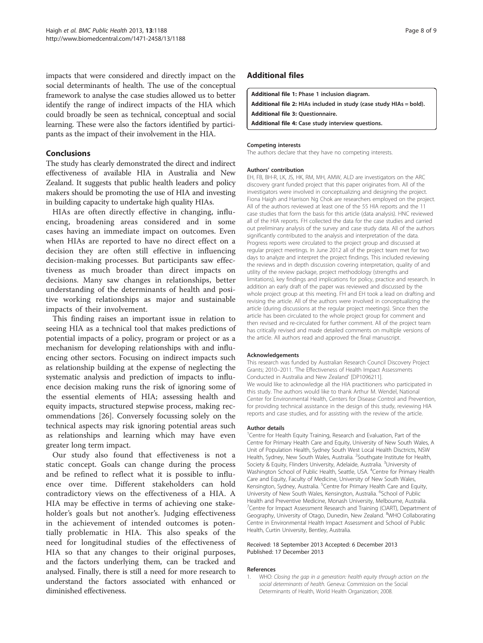<span id="page-7-0"></span>impacts that were considered and directly impact on the social determinants of health. The use of the conceptual framework to analyse the case studies allowed us to better identify the range of indirect impacts of the HIA which could broadly be seen as technical, conceptual and social learning. These were also the factors identified by participants as the impact of their involvement in the HIA.

## Conclusions

The study has clearly demonstrated the direct and indirect effectiveness of available HIA in Australia and New Zealand. It suggests that public health leaders and policy makers should be promoting the use of HIA and investing in building capacity to undertake high quality HIAs.

HIAs are often directly effective in changing, influencing, broadening areas considered and in some cases having an immediate impact on outcomes. Even when HIAs are reported to have no direct effect on a decision they are often still effective in influencing decision-making processes. But participants saw effectiveness as much broader than direct impacts on decisions. Many saw changes in relationships, better understanding of the determinants of health and positive working relationships as major and sustainable impacts of their involvement.

This finding raises an important issue in relation to seeing HIA as a technical tool that makes predictions of potential impacts of a policy, program or project or as a mechanism for developing relationships with and influencing other sectors. Focusing on indirect impacts such as relationship building at the expense of neglecting the systematic analysis and prediction of impacts to influence decision making runs the risk of ignoring some of the essential elements of HIA; assessing health and equity impacts, structured stepwise process, making recommendations [\[26\]](#page-8-0). Conversely focussing solely on the technical aspects may risk ignoring potential areas such as relationships and learning which may have even greater long term impact.

Our study also found that effectiveness is not a static concept. Goals can change during the process and be refined to reflect what it is possible to influence over time. Different stakeholders can hold contradictory views on the effectiveness of a HIA. A HIA may be effective in terms of achieving one stakeholder's goals but not another's. Judging effectiveness in the achievement of intended outcomes is potentially problematic in HIA. This also speaks of the need for longitudinal studies of the effectiveness of HIA so that any changes to their original purposes, and the factors underlying them, can be tracked and analysed. Finally, there is still a need for more research to understand the factors associated with enhanced or diminished effectiveness.

## Additional files

[Additional file 1:](http://www.biomedcentral.com/content/supplementary/1471-2458-13-1188-S1.pdf) Phase 1 inclusion diagram. [Additional file 2:](http://www.biomedcentral.com/content/supplementary/1471-2458-13-1188-S2.pdf) HIAs included in study (case study HIAs = bold). [Additional file 3:](http://www.biomedcentral.com/content/supplementary/1471-2458-13-1188-S3.pdf) Questionnaire. [Additional file 4:](http://www.biomedcentral.com/content/supplementary/1471-2458-13-1188-S4.pdf) Case study interview questions.

#### Competing interests

The authors declare that they have no competing interests.

#### Authors' contribution

EH, FB, BH-R, LK, JS, HK, RM, MH, AMW, ALD are investigators on the ARC discovery grant funded project that this paper originates from. All of the investigators were involved in conceptualizing and designing the project. Fiona Haigh and Harrison Ng Chok are researchers employed on the project. All of the authors reviewed at least one of the 55 HIA reports and the 11 case studies that form the basis for this article (data analysis). HNC reviewed all of the HIA reports. FH collected the data for the case studies and carried out preliminary analysis of the survey and case study data. All of the authors significantly contributed to the analysis and interpretation of the data. Progress reports were circulated to the project group and discussed at regular project meetings. In June 2012 all of the project team met for two days to analyze and interpret the project findings. This included reviewing the reviews and in depth discussion covering interpretation, quality of and utility of the review package, project methodology (strengths and limitations), key findings and implications for policy, practice and research. In addition an early draft of the paper was reviewed and discussed by the whole project group at this meeting. FH and EH took a lead on drafting and revising the article. All of the authors were involved in conceptualizing the article (during discussions at the regular project meetings). Since then the article has been circulated to the whole project group for comment and then revised and re-circulated for further comment. All of the project team has critically revised and made detailed comments on multiple versions of the article. All authors read and approved the final manuscript.

#### Acknowledgements

This research was funded by Australian Research Council Discovery Project Grants; 2010–2011. 'The Effectiveness of Health Impact Assessments Conducted in Australia and New Zealand' [DP1096211]. We would like to acknowledge all the HIA practitioners who participated in this study. The authors would like to thank Arthur M. Wendel, National Center for Environmental Health, Centers for Disease Control and Prevention, for providing technical assistance in the design of this study, reviewing HIA reports and case studies, and for assisting with the review of the article.

#### Author details

<sup>1</sup> Centre for Health Equity Training, Research and Evaluation, Part of the Centre for Primary Health Care and Equity, University of New South Wales, A Unit of Population Health, Sydney South West Local Health Disctricts, NSW Health, Sydney, New South Wales, Australia. <sup>2</sup>Southgate Institute for Health Society & Equity, Flinders University, Adelaide, Australia. <sup>3</sup>University of Washington School of Public Health, Seattle, USA. <sup>4</sup>Centre for Primary Health Care and Equity, Faculty of Medicine, University of New South Wales, Kensington, Sydney, Australia. <sup>5</sup>Centre for Primary Health Care and Equity, University of New South Wales, Kensington, Australia. <sup>6</sup>School of Public Health and Preventive Medicine, Monash University, Melbourne, Australia. <sup>7</sup> Centre for Impact Assessment Research and Training (CIART), Department of Geography, University of Otago, Dunedin, New Zealand. <sup>8</sup>WHO Collaborating Centre in Environmental Health Impact Assessment and School of Public Health, Curtin University, Bentley, Australia.

#### Received: 18 September 2013 Accepted: 6 December 2013 Published: 17 December 2013

#### References

1. WHO: Closing the gap in a generation: health equity through action on the social determinants of health. Geneva: Commission on the Social Determinants of Health, World Health Organization; 2008.